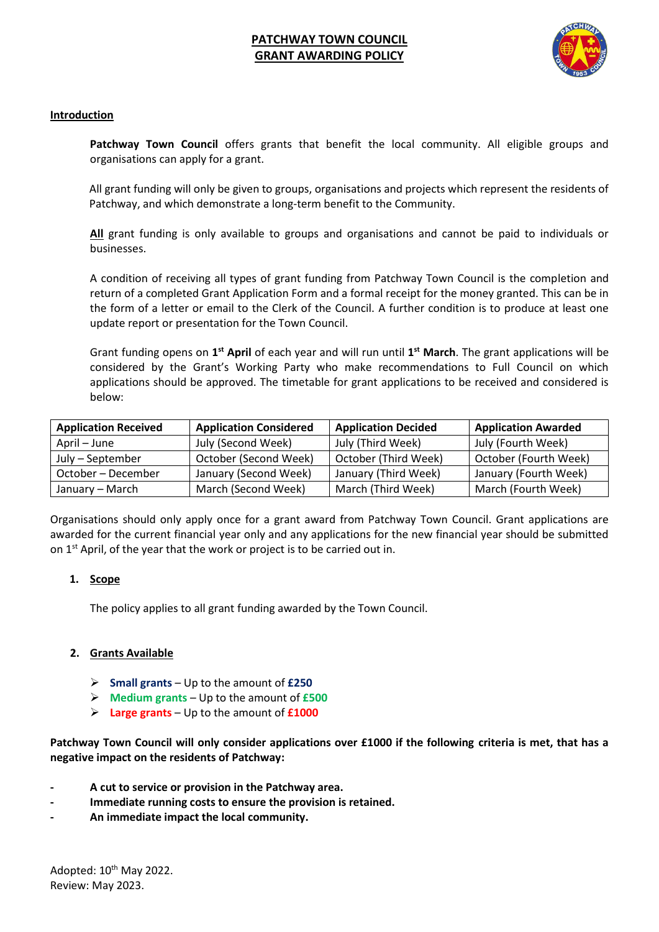# **PATCHWAY TOWN COUNCIL GRANT AWARDING POLICY**



### **Introduction**

**Patchway Town Council** offers grants that benefit the local community. All eligible groups and organisations can apply for a grant.

All grant funding will only be given to groups, organisations and projects which represent the residents of Patchway, and which demonstrate a long-term benefit to the Community.

**All** grant funding is only available to groups and organisations and cannot be paid to individuals or businesses.

A condition of receiving all types of grant funding from Patchway Town Council is the completion and return of a completed Grant Application Form and a formal receipt for the money granted. This can be in the form of a letter or email to the Clerk of the Council. A further condition is to produce at least one update report or presentation for the Town Council.

Grant funding opens on **1 st April** of each year and will run until **1 st March**. The grant applications will be considered by the Grant's Working Party who make recommendations to Full Council on which applications should be approved. The timetable for grant applications to be received and considered is below:

| <b>Application Received</b> | <b>Application Considered</b> | <b>Application Decided</b> | <b>Application Awarded</b> |
|-----------------------------|-------------------------------|----------------------------|----------------------------|
| April – June                | July (Second Week)            | July (Third Week)          | July (Fourth Week)         |
| July - September            | October (Second Week)         | October (Third Week)       | October (Fourth Week)      |
| October – December          | January (Second Week)         | January (Third Week)       | January (Fourth Week)      |
| January – March             | March (Second Week)           | March (Third Week)         | March (Fourth Week)        |

Organisations should only apply once for a grant award from Patchway Town Council. Grant applications are awarded for the current financial year only and any applications for the new financial year should be submitted on 1<sup>st</sup> April, of the year that the work or project is to be carried out in.

#### **1. Scope**

The policy applies to all grant funding awarded by the Town Council.

## **2. Grants Available**

- ➢ **Small grants** Up to the amount of **£250**
- ➢ **Medium grants** Up to the amount of **£500**
- ➢ **Large grants** Up to the amount of **£1000**

**Patchway Town Council will only consider applications over £1000 if the following criteria is met, that has a negative impact on the residents of Patchway:**

- **- A cut to service or provision in the Patchway area.**
- **- Immediate running costs to ensure the provision is retained.**
- **- An immediate impact the local community.**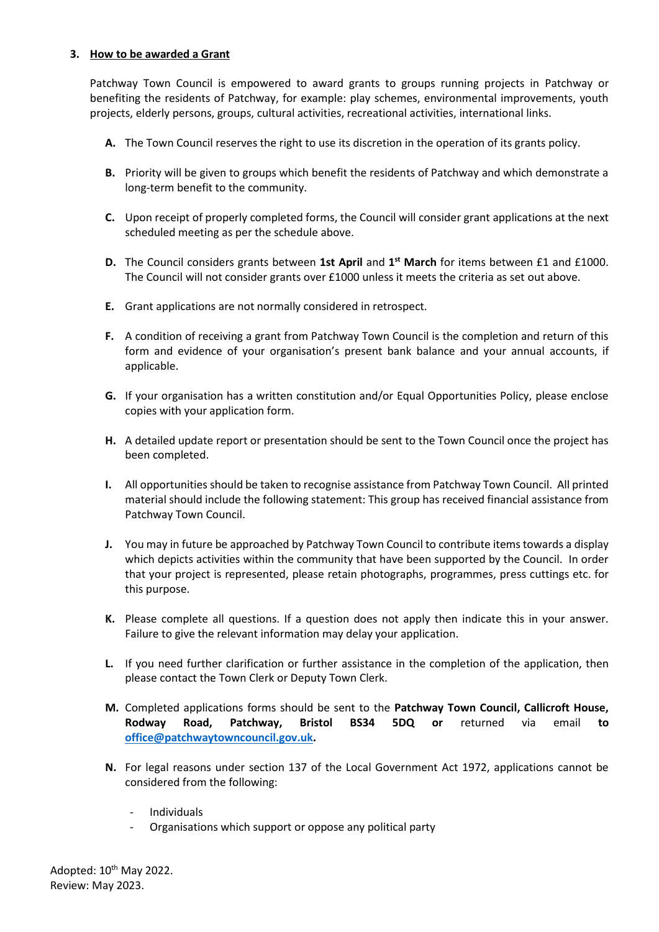#### **3. How to be awarded a Grant**

Patchway Town Council is empowered to award grants to groups running projects in Patchway or benefiting the residents of Patchway, for example: play schemes, environmental improvements, youth projects, elderly persons, groups, cultural activities, recreational activities, international links.

- **A.** The Town Council reserves the right to use its discretion in the operation of its grants policy.
- **B.** Priority will be given to groups which benefit the residents of Patchway and which demonstrate a long-term benefit to the community.
- **C.** Upon receipt of properly completed forms, the Council will consider grant applications at the next scheduled meeting as per the schedule above.
- **D.** The Council considers grants between 1st April and 1<sup>st</sup> March for items between £1 and £1000. The Council will not consider grants over £1000 unless it meets the criteria as set out above.
- **E.** Grant applications are not normally considered in retrospect.
- **F.** A condition of receiving a grant from Patchway Town Council is the completion and return of this form and evidence of your organisation's present bank balance and your annual accounts, if applicable.
- **G.** If your organisation has a written constitution and/or Equal Opportunities Policy, please enclose copies with your application form.
- **H.** A detailed update report or presentation should be sent to the Town Council once the project has been completed.
- **I.** All opportunities should be taken to recognise assistance from Patchway Town Council. All printed material should include the following statement: This group has received financial assistance from Patchway Town Council.
- **J.** You may in future be approached by Patchway Town Council to contribute items towards a display which depicts activities within the community that have been supported by the Council. In order that your project is represented, please retain photographs, programmes, press cuttings etc. for this purpose.
- **K.** Please complete all questions. If a question does not apply then indicate this in your answer. Failure to give the relevant information may delay your application.
- **L.** If you need further clarification or further assistance in the completion of the application, then please contact the Town Clerk or Deputy Town Clerk.
- **M.** Completed applications forms should be sent to the **Patchway Town Council, Callicroft House, Rodway Road, Patchway, Bristol BS34 5DQ or** returned via email **to [office@patchwaytowncouncil.gov.uk.](mailto:office@patchwaytowncouncil.gov.uk)**
- **N.** For legal reasons under section 137 of the Local Government Act 1972, applications cannot be considered from the following:
	- Individuals
	- Organisations which support or oppose any political party

Adopted: 10<sup>th</sup> May 2022. Review: May 2023.